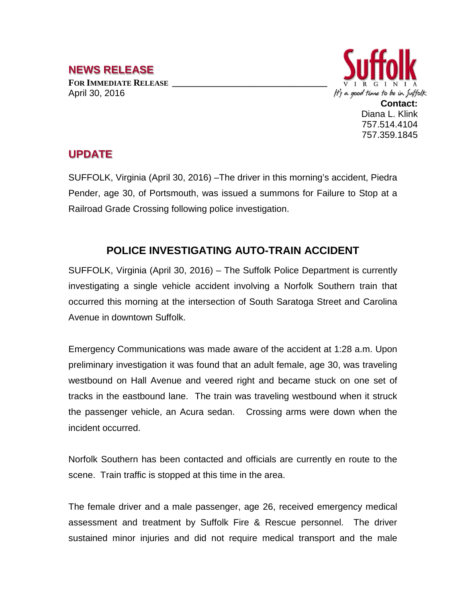## **NEWS RELEASE**

FOR **IMMEDIATE RELEASE** April 30, 2016



## **UPDATE**

SUFFOLK, Virginia (April 30, 2016) –The driver in this morning's accident, Piedra Pender, age 30, of Portsmouth, was issued a summons for Failure to Stop at a Railroad Grade Crossing following police investigation.

## **POLICE INVESTIGATING AUTO-TRAIN ACCIDENT**

SUFFOLK, Virginia (April 30, 2016) – The Suffolk Police Department is currently investigating a single vehicle accident involving a Norfolk Southern train that occurred this morning at the intersection of South Saratoga Street and Carolina Avenue in downtown Suffolk.

Emergency Communications was made aware of the accident at 1:28 a.m. Upon preliminary investigation it was found that an adult female, age 30, was traveling westbound on Hall Avenue and veered right and became stuck on one set of tracks in the eastbound lane. The train was traveling westbound when it struck the passenger vehicle, an Acura sedan. Crossing arms were down when the incident occurred.

Norfolk Southern has been contacted and officials are currently en route to the scene. Train traffic is stopped at this time in the area.

The female driver and a male passenger, age 26, received emergency medical assessment and treatment by Suffolk Fire & Rescue personnel. The driver sustained minor injuries and did not require medical transport and the male